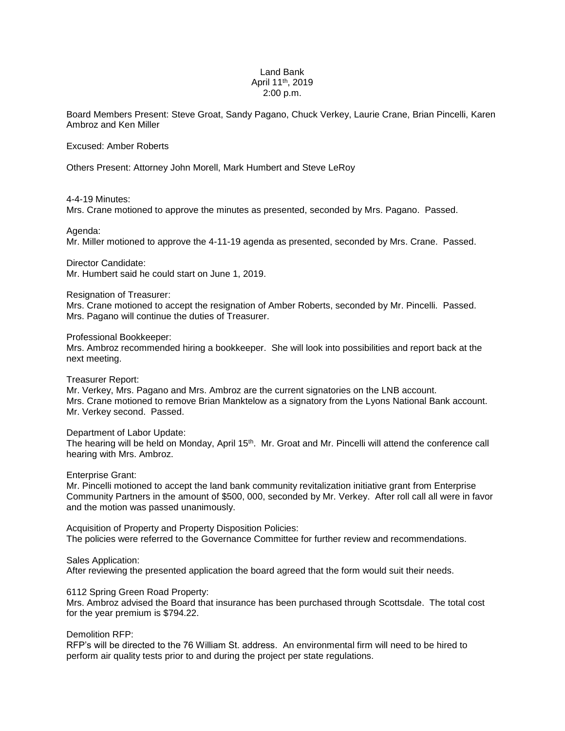# Land Bank April 11th, 2019 2:00 p.m.

Board Members Present: Steve Groat, Sandy Pagano, Chuck Verkey, Laurie Crane, Brian Pincelli, Karen Ambroz and Ken Miller

### Excused: Amber Roberts

Others Present: Attorney John Morell, Mark Humbert and Steve LeRoy

#### 4-4-19 Minutes:

Mrs. Crane motioned to approve the minutes as presented, seconded by Mrs. Pagano. Passed.

## Agenda:

Mr. Miller motioned to approve the 4-11-19 agenda as presented, seconded by Mrs. Crane. Passed.

# Director Candidate:

Mr. Humbert said he could start on June 1, 2019.

## Resignation of Treasurer:

Mrs. Crane motioned to accept the resignation of Amber Roberts, seconded by Mr. Pincelli. Passed. Mrs. Pagano will continue the duties of Treasurer.

#### Professional Bookkeeper:

Mrs. Ambroz recommended hiring a bookkeeper. She will look into possibilities and report back at the next meeting.

## Treasurer Report:

Mr. Verkey, Mrs. Pagano and Mrs. Ambroz are the current signatories on the LNB account. Mrs. Crane motioned to remove Brian Manktelow as a signatory from the Lyons National Bank account. Mr. Verkey second. Passed.

#### Department of Labor Update:

The hearing will be held on Monday, April 15th. Mr. Groat and Mr. Pincelli will attend the conference call hearing with Mrs. Ambroz.

# Enterprise Grant:

Mr. Pincelli motioned to accept the land bank community revitalization initiative grant from Enterprise Community Partners in the amount of \$500, 000, seconded by Mr. Verkey. After roll call all were in favor and the motion was passed unanimously.

Acquisition of Property and Property Disposition Policies: The policies were referred to the Governance Committee for further review and recommendations.

# Sales Application:

After reviewing the presented application the board agreed that the form would suit their needs.

# 6112 Spring Green Road Property:

Mrs. Ambroz advised the Board that insurance has been purchased through Scottsdale. The total cost for the year premium is \$794.22.

# Demolition RFP:

RFP's will be directed to the 76 William St. address. An environmental firm will need to be hired to perform air quality tests prior to and during the project per state regulations.